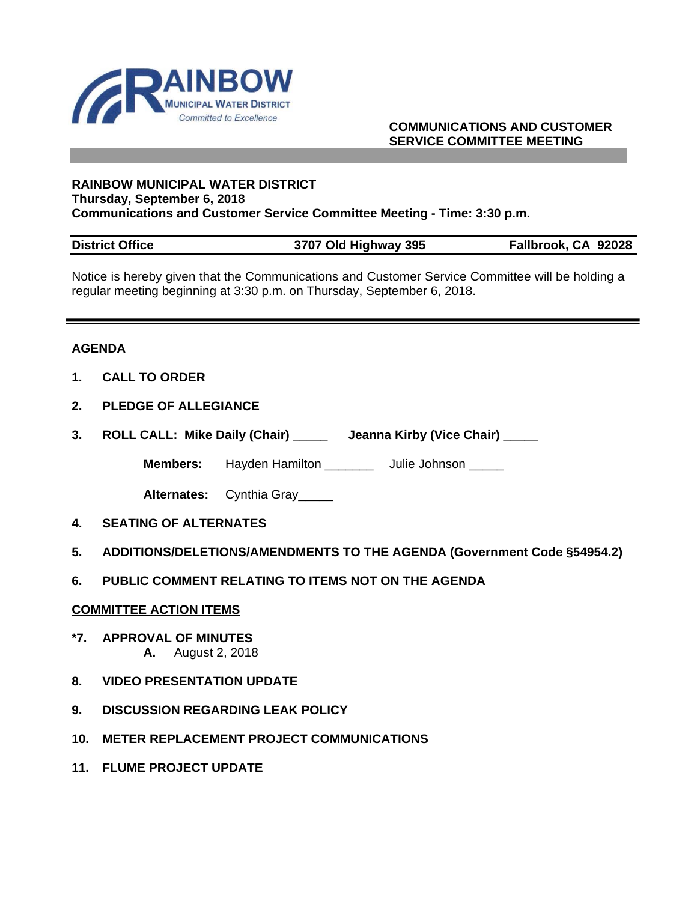

## **COMMUNICATIONS AND CUSTOMER SERVICE COMMITTEE MEETING**

#### **RAINBOW MUNICIPAL WATER DISTRICT Thursday, September 6, 2018 Communications and Customer Service Committee Meeting - Time: 3:30 p.m.**

| <b>District Office</b> | 3707 Old Highway 395 | Fallbrook, CA 92028 |
|------------------------|----------------------|---------------------|

Notice is hereby given that the Communications and Customer Service Committee will be holding a regular meeting beginning at 3:30 p.m. on Thursday, September 6, 2018.

#### **AGENDA**

- **1. CALL TO ORDER**
- **2. PLEDGE OF ALLEGIANCE**
- **3. ROLL CALL: Mike Daily (Chair) \_\_\_\_\_ Jeanna Kirby (Vice Chair) \_\_\_\_\_**

**Members:** Hayden Hamilton \_\_\_\_\_\_\_ Julie Johnson \_\_\_\_\_

**Alternates:** Cynthia Gray\_\_\_\_\_

- **4. SEATING OF ALTERNATES**
- **5. ADDITIONS/DELETIONS/AMENDMENTS TO THE AGENDA (Government Code §54954.2)**
- **6. PUBLIC COMMENT RELATING TO ITEMS NOT ON THE AGENDA**

#### **COMMITTEE ACTION ITEMS**

- **\*7. APPROVAL OF MINUTES A.** August 2, 2018
- **8. VIDEO PRESENTATION UPDATE**
- **9. DISCUSSION REGARDING LEAK POLICY**
- **10. METER REPLACEMENT PROJECT COMMUNICATIONS**
- **11. FLUME PROJECT UPDATE**